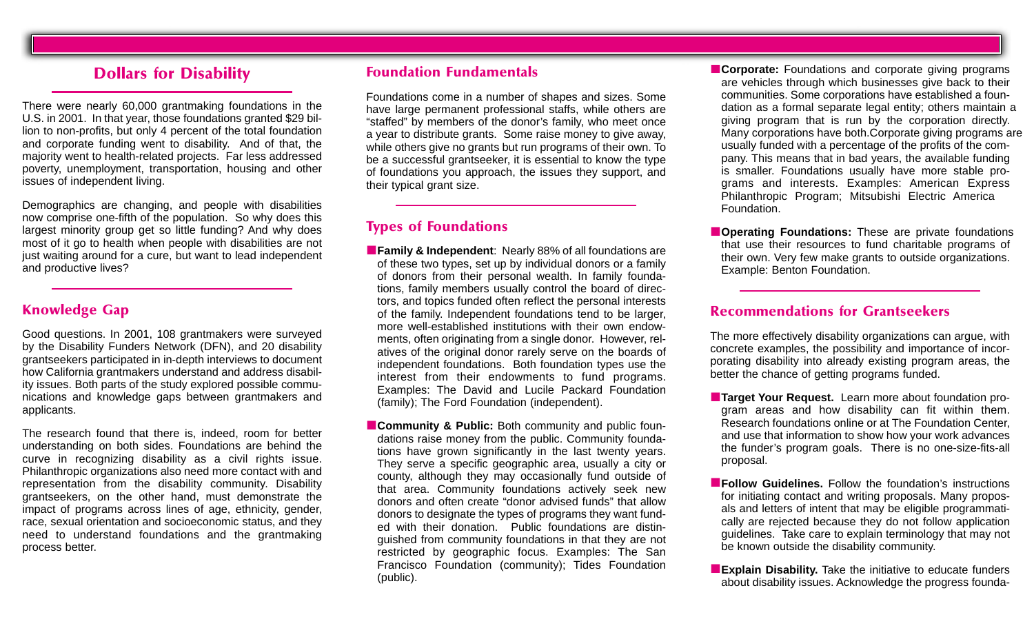## **Dollars for Disability**

There were nearly 60,000 grantmaking foundations in the U.S. in 2001. In that year, those foundations granted \$29 billion to non-profits, but only 4 percent of the total foundation and corporate funding went to disability. And of that, the majority went to health-related projects. Far less addressed poverty, unemployment, transportation, housing and other issues of independent living.

Demographics are changing, and people with disabilities now comprise one-fifth of the population. So why does this largest minority group get so little funding? And why does most of it go to health when people with disabilities are not just waiting around for a cure, but want to lead independent and productive lives?

## **Knowledge Gap**

Good questions. In 2001, 108 grantmakers were surveyed by the Disability Funders Network (DFN), and 20 disability grantseekers participated in in-depth interviews to document how California grantmakers understand and address disability issues. Both parts of the study explored possible communications and knowledge gaps between grantmakers and applicants.

The research found that there is, indeed, room for better understanding on both sides. Foundations are behind the curve in recognizing disability as a civil rights issue. Philanthropic organizations also need more contact with and representation from the disability community. Disability grantseekers, on the other hand, must demonstrate the impact of programs across lines of age, ethnicity, gender, race, sexual orientation and socioeconomic status, and they need to understand foundations and the grantmaking process better.

#### **Foundation Fundamentals**

Foundations come in a number of shapes and sizes. Some have large permanent professional staffs, while others are "staffed" by members of the donor's family, who meet once a year to distribute grants. Some raise money to give away, while others give no grants but run programs of their own. To be a successful grantseeker, it is essential to know the type of foundations you approach, the issues they support, and their typical grant size.

## **Types of Foundations**

- **Family & Independent**: Nearly 88% of all foundations are of these two types, set up by individual donors or a family of donors from their personal wealth. In family foundations, family members usually control the board of directors, and topics funded often reflect the personal interests of the family. Independent foundations tend to be larger, more well-established institutions with their own endowments, often originating from a single donor. However, relatives of the original donor rarely serve on the boards of independent foundations. Both foundation types use the interest from their endowments to fund programs. Examples: The David and Lucile Packard Foundation (family); The Ford Foundation (independent).
- **Community & Public:** Both community and public foundations raise money from the public. Community foundations have grown significantly in the last twenty years. They serve a specific geographic area, usually a city or county, although they may occasionally fund outside of that area. Community foundations actively seek new donors and often create "donor advised funds" that allow donors to designate the types of programs they want funded with their donation. Public foundations are distinguished from community foundations in that they are not restricted by geographic focus. Examples: The San Francisco Foundation (community); Tides Foundation (public).

■ **Corporate:** Foundations and corporate giving programs are vehicles through which businesses give back to their communities. Some corporations have established a foundation as a formal separate legal entity; others maintain a giving program that is run by the corporation directly. Many corporations have both.Corporate giving programs are usually funded with a percentage of the profits of the company. This means that in bad years, the available funding is smaller. Foundations usually have more stable programs and interests. Examples: American Express Philanthropic Program; Mitsubishi Electric America Foundation.

■ **Operating Foundations:** These are private foundations that use their resources to fund charitable programs of their own. Very few make grants to outside organizations. Example: Benton Foundation.

#### **Recommendations for Grantseekers**

The more effectively disability organizations can argue, with concrete examples, the possibility and importance of incorporating disability into already existing program areas, the better the chance of getting programs funded.

- **Target Your Request.** Learn more about foundation program areas and how disability can fit within them. Research foundations online or at The Foundation Center, and use that information to show how your work advances the funder's program goals. There is no one-size-fits-all proposal.
- **Follow Guidelines.** Follow the foundation's instructions for initiating contact and writing proposals. Many proposals and letters of intent that may be eligible programmatically are rejected because they do not follow application guidelines. Take care to explain terminology that may not be known outside the disability community.
- **Explain Disability.** Take the initiative to educate funders about disability issues. Acknowledge the progress founda-